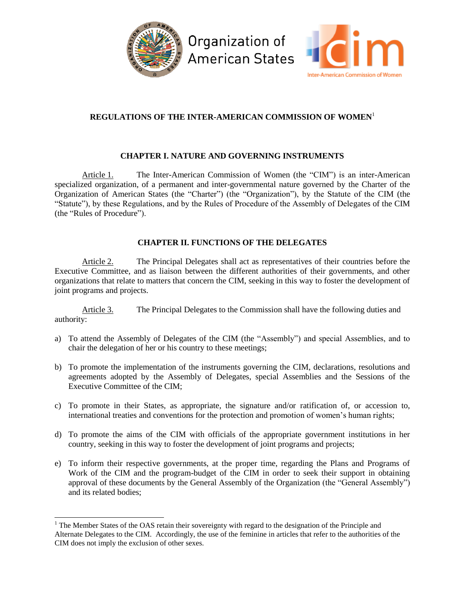



# **REGULATIONS OF THE INTER-AMERICAN COMMISSION OF WOMEN**<sup>1</sup>

## **CHAPTER I. NATURE AND GOVERNING INSTRUMENTS**

Article 1. The Inter-American Commission of Women (the "CIM") is an inter-American specialized organization, of a permanent and inter-governmental nature governed by the Charter of the Organization of American States (the "Charter") (the "Organization"), by the Statute of the CIM (the "Statute"), by these Regulations, and by the Rules of Procedure of the Assembly of Delegates of the CIM (the "Rules of Procedure").

## **CHAPTER II. FUNCTIONS OF THE DELEGATES**

Article 2. The Principal Delegates shall act as representatives of their countries before the Executive Committee, and as liaison between the different authorities of their governments, and other organizations that relate to matters that concern the CIM, seeking in this way to foster the development of joint programs and projects.

Article 3. The Principal Delegates to the Commission shall have the following duties and authority:

- a) To attend the Assembly of Delegates of the CIM (the "Assembly") and special Assemblies, and to chair the delegation of her or his country to these meetings;
- b) To promote the implementation of the instruments governing the CIM, declarations, resolutions and agreements adopted by the Assembly of Delegates, special Assemblies and the Sessions of the Executive Committee of the CIM;
- c) To promote in their States, as appropriate, the signature and/or ratification of, or accession to, international treaties and conventions for the protection and promotion of women's human rights;
- d) To promote the aims of the CIM with officials of the appropriate government institutions in her country, seeking in this way to foster the development of joint programs and projects;
- e) To inform their respective governments, at the proper time, regarding the Plans and Programs of Work of the CIM and the program-budget of the CIM in order to seek their support in obtaining approval of these documents by the General Assembly of the Organization (the "General Assembly") and its related bodies;

l

<sup>&</sup>lt;sup>1</sup> The Member States of the OAS retain their sovereignty with regard to the designation of the Principle and Alternate Delegates to the CIM. Accordingly, the use of the feminine in articles that refer to the authorities of the CIM does not imply the exclusion of other sexes.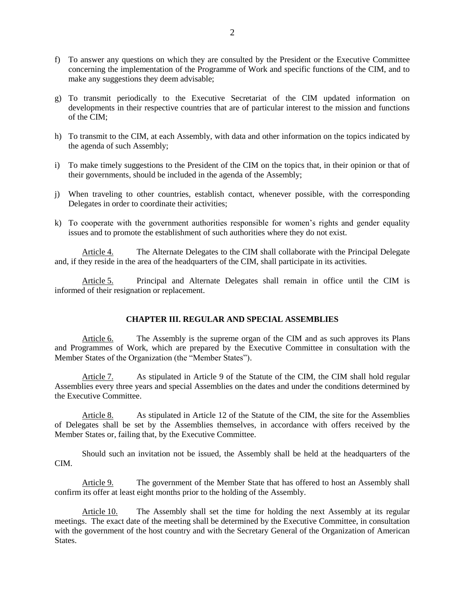- f) To answer any questions on which they are consulted by the President or the Executive Committee concerning the implementation of the Programme of Work and specific functions of the CIM, and to make any suggestions they deem advisable;
- g) To transmit periodically to the Executive Secretariat of the CIM updated information on developments in their respective countries that are of particular interest to the mission and functions of the CIM;
- h) To transmit to the CIM, at each Assembly, with data and other information on the topics indicated by the agenda of such Assembly;
- i) To make timely suggestions to the President of the CIM on the topics that, in their opinion or that of their governments*,* should be included in the agenda of the Assembly;
- j) When traveling to other countries, establish contact, whenever possible, with the corresponding Delegates in order to coordinate their activities;
- k) To cooperate with the government authorities responsible for women's rights and gender equality issues and to promote the establishment of such authorities where they do not exist.

Article 4. The Alternate Delegates to the CIM shall collaborate with the Principal Delegate and, if they reside in the area of the headquarters of the CIM, shall participate in its activities.

Article 5. Principal and Alternate Delegates shall remain in office until the CIM is informed of their resignation or replacement.

#### **CHAPTER III. REGULAR AND SPECIAL ASSEMBLIES**

Article 6. The Assembly is the supreme organ of the CIM and as such approves its Plans and Programmes of Work, which are prepared by the Executive Committee in consultation with the Member States of the Organization (the "Member States").

Article 7. As stipulated in Article 9 of the Statute of the CIM, the CIM shall hold regular Assemblies every three years and special Assemblies on the dates and under the conditions determined by the Executive Committee.

Article 8. As stipulated in Article 12 of the Statute of the CIM, the site for the Assemblies of Delegates shall be set by the Assemblies themselves, in accordance with offers received by the Member States or, failing that, by the Executive Committee.

Should such an invitation not be issued, the Assembly shall be held at the headquarters of the CIM.

Article 9. The government of the Member State that has offered to host an Assembly shall confirm its offer at least eight months prior to the holding of the Assembly.

Article 10. The Assembly shall set the time for holding the next Assembly at its regular meetings. The exact date of the meeting shall be determined by the Executive Committee, in consultation with the government of the host country and with the Secretary General of the Organization of American States.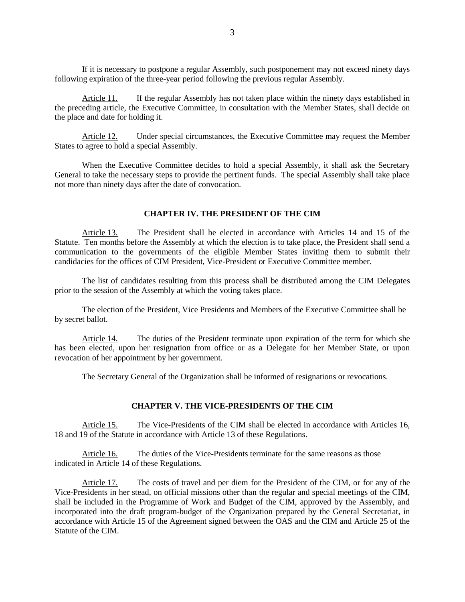If it is necessary to postpone a regular Assembly, such postponement may not exceed ninety days following expiration of the three-year period following the previous regular Assembly.

Article 11. If the regular Assembly has not taken place within the ninety days established in the preceding article, the Executive Committee, in consultation with the Member States, shall decide on the place and date for holding it.

Article 12. Under special circumstances, the Executive Committee may request the Member States to agree to hold a special Assembly.

When the Executive Committee decides to hold a special Assembly, it shall ask the Secretary General to take the necessary steps to provide the pertinent funds. The special Assembly shall take place not more than ninety days after the date of convocation.

#### **CHAPTER IV. THE PRESIDENT OF THE CIM**

Article 13. The President shall be elected in accordance with Articles 14 and 15 of the Statute. Ten months before the Assembly at which the election is to take place, the President shall send a communication to the governments of the eligible Member States inviting them to submit their candidacies for the offices of CIM President, Vice-President or Executive Committee member.

The list of candidates resulting from this process shall be distributed among the CIM Delegates prior to the session of the Assembly at which the voting takes place.

The election of the President, Vice Presidents and Members of the Executive Committee shall be by secret ballot.

Article 14. The duties of the President terminate upon expiration of the term for which she has been elected, upon her resignation from office or as a Delegate for her Member State, or upon revocation of her appointment by her government.

The Secretary General of the Organization shall be informed of resignations or revocations.

### **CHAPTER V. THE VICE-PRESIDENTS OF THE CIM**

Article 15. The Vice-Presidents of the CIM shall be elected in accordance with Articles 16, 18 and 19 of the Statute in accordance with Article 13 of these Regulations.

Article 16. The duties of the Vice-Presidents terminate for the same reasons as those indicated in Article 14 of these Regulations.

Article 17. The costs of travel and per diem for the President of the CIM, or for any of the Vice-Presidents in her stead, on official missions other than the regular and special meetings of the CIM, shall be included in the Programme of Work and Budget of the CIM, approved by the Assembly, and incorporated into the draft program-budget of the Organization prepared by the General Secretariat, in accordance with Article 15 of the Agreement signed between the OAS and the CIM and Article 25 of the Statute of the CIM.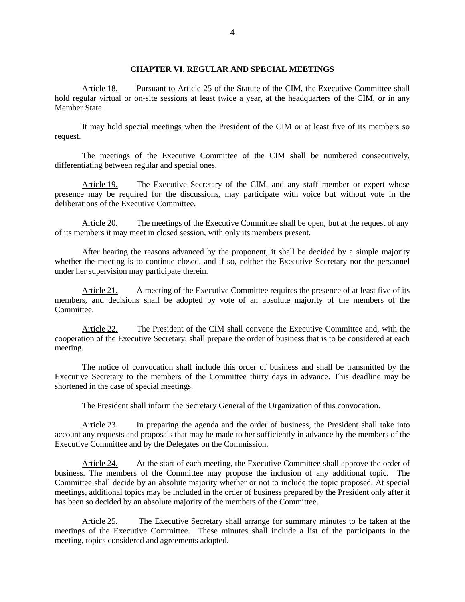### **CHAPTER VI. REGULAR AND SPECIAL MEETINGS**

Article 18. Pursuant to Article 25 of the Statute of the CIM, the Executive Committee shall hold regular virtual or on-site sessions at least twice a year, at the headquarters of the CIM, or in any Member State.

It may hold special meetings when the President of the CIM or at least five of its members so request.

The meetings of the Executive Committee of the CIM shall be numbered consecutively, differentiating between regular and special ones.

Article 19. The Executive Secretary of the CIM, and any staff member or expert whose presence may be required for the discussions, may participate with voice but without vote in the deliberations of the Executive Committee.

Article 20. The meetings of the Executive Committee shall be open, but at the request of any of its members it may meet in closed session, with only its members present.

After hearing the reasons advanced by the proponent, it shall be decided by a simple majority whether the meeting is to continue closed, and if so, neither the Executive Secretary nor the personnel under her supervision may participate therein.

Article 21. A meeting of the Executive Committee requires the presence of at least five of its members, and decisions shall be adopted by vote of an absolute majority of the members of the Committee.

Article 22. The President of the CIM shall convene the Executive Committee and, with the cooperation of the Executive Secretary, shall prepare the order of business that is to be considered at each meeting.

The notice of convocation shall include this order of business and shall be transmitted by the Executive Secretary to the members of the Committee thirty days in advance. This deadline may be shortened in the case of special meetings.

The President shall inform the Secretary General of the Organization of this convocation.

Article 23. In preparing the agenda and the order of business, the President shall take into account any requests and proposals that may be made to her sufficiently in advance by the members of the Executive Committee and by the Delegates on the Commission.

Article 24. At the start of each meeting, the Executive Committee shall approve the order of business. The members of the Committee may propose the inclusion of any additional topic. The Committee shall decide by an absolute majority whether or not to include the topic proposed. At special meetings, additional topics may be included in the order of business prepared by the President only after it has been so decided by an absolute majority of the members of the Committee.

Article 25. The Executive Secretary shall arrange for summary minutes to be taken at the meetings of the Executive Committee. These minutes shall include a list of the participants in the meeting, topics considered and agreements adopted.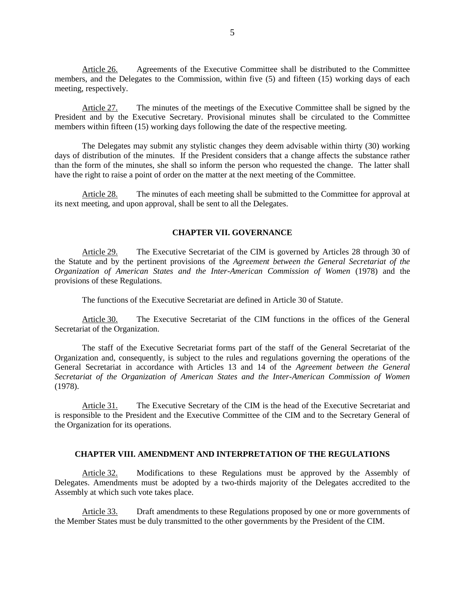Article 26. Agreements of the Executive Committee shall be distributed to the Committee members, and the Delegates to the Commission, within five (5) and fifteen (15) working days of each meeting, respectively.

Article 27. The minutes of the meetings of the Executive Committee shall be signed by the President and by the Executive Secretary. Provisional minutes shall be circulated to the Committee members within fifteen (15) working days following the date of the respective meeting.

The Delegates may submit any stylistic changes they deem advisable within thirty (30) working days of distribution of the minutes. If the President considers that a change affects the substance rather than the form of the minutes, she shall so inform the person who requested the change. The latter shall have the right to raise a point of order on the matter at the next meeting of the Committee.

Article 28. The minutes of each meeting shall be submitted to the Committee for approval at its next meeting, and upon approval, shall be sent to all the Delegates.

#### **CHAPTER VII. GOVERNANCE**

Article 29. The Executive Secretariat of the CIM is governed by Articles 28 through 30 of the Statute and by the pertinent provisions of the *Agreement between the General Secretariat of the Organization of American States and the Inter-American Commission of Women* (1978) and the provisions of these Regulations.

The functions of the Executive Secretariat are defined in Article 30 of Statute.

Article 30. The Executive Secretariat of the CIM functions in the offices of the General Secretariat of the Organization.

The staff of the Executive Secretariat forms part of the staff of the General Secretariat of the Organization and, consequently, is subject to the rules and regulations governing the operations of the General Secretariat in accordance with Articles 13 and 14 of the *Agreement between the General Secretariat of the Organization of American States and the Inter-American Commission of Women* (1978).

Article 31. The Executive Secretary of the CIM is the head of the Executive Secretariat and is responsible to the President and the Executive Committee of the CIM and to the Secretary General of the Organization for its operations.

#### **CHAPTER VIII. AMENDMENT AND INTERPRETATION OF THE REGULATIONS**

Article 32. Modifications to these Regulations must be approved by the Assembly of Delegates. Amendments must be adopted by a two-thirds majority of the Delegates accredited to the Assembly at which such vote takes place.

Article 33. Draft amendments to these Regulations proposed by one or more governments of the Member States must be duly transmitted to the other governments by the President of the CIM.